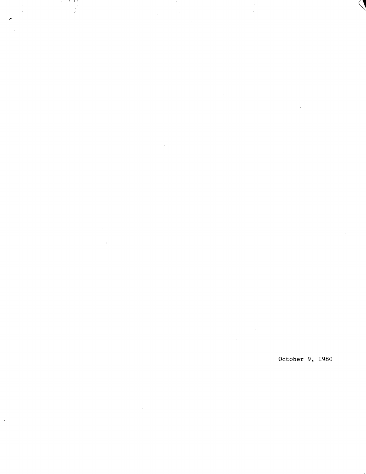

 $\sim$  $\sim 10^7$ 

 $\bar{\bar{z}}$ 

 $\lambda$ October 9, 1980

 $\hat{\mathcal{E}}$ 

k,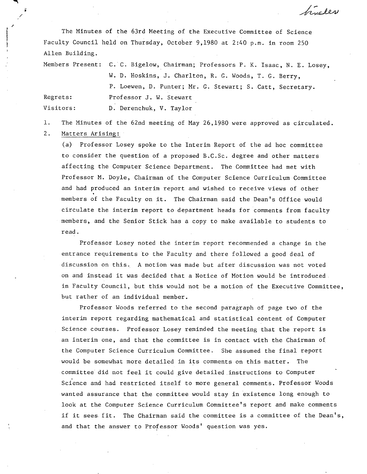The Minutes of the 63rd Meeting of the Executive Committee of Science Faculty Council held on Thursday, October 9,1980 at 2:40 p.m. in room 250 Allen Building.

trueles

 $\mathcal{L}$ 

Members Present: C. C. Bigelow, Chairman; Professors P. K. Isaac, N. E. Losey, W. D. Hoskins, J. Charlton, R. C. Woods, T. C. Berry, P. Loewen, D. Punter; Mr. C. Stewart; S. Catt, Secretary. Regrets: Professor J. W. Stewart Visitors: D. Derenchuk, V. Taylor

 $1$  . The Minutes of the 62nd meeting of May 26,1980 were approved as circulated.  $2.1$ Matters Arising:

(a) Professor Losey spoke to the Interim Report of the ad hoc committee to consider the question of a proposed B.C.Sc. degree and other matters affecting the Computer Science Department. The Committee had met with Professor N. Doyle, Chairman of the Computer Science Curriculum Committee and had produced an interim report and wished to receive views of other members of the Faculty on it. The Chairman said the Dean's Office would circulate the interim report to department heads for comments from faculty members, and the Senior Stick has a copy to make available to students to read.

Professor Losey noted the interim report recommended a change in the entrance requirements to the Faculty and there followed a good deal of discussion on this. A motion was made but after discussion was not voted on and instead it was decided that a Notice of Motion would be introduced. in Faculty Council, but this would not be a motion of the Executive Committee, but rather of an individual member.

Professor Woods referred to the second paragraph of page two of the interim report regarding mathematical and statistical content of Computer Science courses. Professor Losey reminded the meeting that the report is an interim one, and that the committee is in contact with the Chairman of the Computer Science Curriculum Committee. She assumed the final report would be somewhat more detailed in its comments on this matter. The committee did not feel it could give detailed instructions to Computer Science and had restricted itself to more general comments. Professor Woods wanted assurance that the committee would stay in existence long enough to look at the Computer Science Curriculum Committee's report and make comments if it sees fit. The Chairman said the committee is a committee of the Dean's, and that the answer to Professor Woods' question was yes.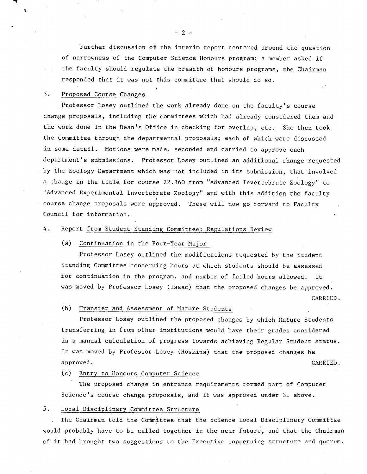Further discussion of the interim report centered around the question of narrowness of the Computer Science Honours program; a member asked if the faculty should regulate the breadth of honours programs, the Chairman responded that it was not this committee that should do so.

### 3. Proposed Course Changes

**14** 

Professor Losey outlined the work already done on the faculty's course change proposals, including the committees which had already considered them and the work done in the Dean's Office in checking for overlap, etc. She then took the Committee through the departmental proposals; each of which were discussed in some detail. Motions were made, seconded and carried to approve each department's submissions. Professor Losey outlined an additional change requested by the Zoology Department which was not included in its submission, that involved a change in the title for course 22.360 from "Advanced Invertebrate Zoology" to "Advanced Experimental Invertebrate Zoology" and with this addition the faculty course change proposals were approved. These will now go forward to Faculty Council for information.

# 4. Report from Student Standing Committee: Regulations Review

## (a) Continuation in the Four-Year Major

Professor Losey outlined the modifications requested by the Student Standing Committee concerning hours at which students should be assessed for continuation in the program, and number of failed hours allowed. It was moved by Professor Losey (Isaac) that the proposed changes be approved. CARRIED.

Transfer and Assessment of Mature Students  $(b)$ 

Professor Losey outlined the proposed changes by which Mature Students transferring in from other institutions would have their grades considered in a manual calculation of progress towards achieving Regular Student status. It was moved by Professor Losey (Hoskins) that the proposed changes be approved. CARRIED.

Entry to Honours Computer Science

The proposed change in entrance requirements formed part of Computer Science's course change proposals, and it was approved under 3. above.

## 5. Local Disciplinary Committee Structure

The Chairman told the Committee that the Science Local Disciplinary Committee would probably have to be called together in the near future, and that the Chairman of it had brought two suggestions to the Executive concerning structure and quorum.

-2-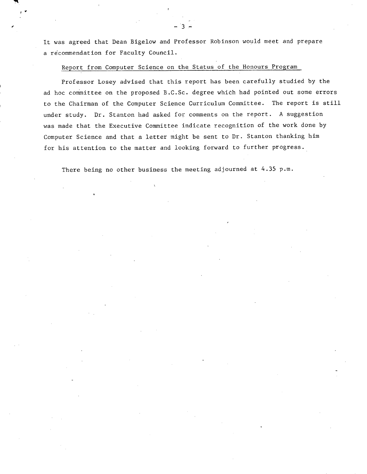It was agreed that Dean Bigelow and Professor Robinson would meet and prepare a recommendation for Faculty Council.

Report from Computer Science on the Status of the Honours Program

Professor Losey advised that this report has been carefully studied by the ad hoc committee on the proposed B.C.Sc. degree which had pointed out some errors to the Chairman of the Computer Science Curriculum Committee. The report is still under study. Dr. Stanton had asked for comments on the report. A suggestion was made that the Executive Committee indicate recognition of the work done by Computer Science and that a letter might be sent to Dr. Stanton thanking him for his attention to the matter and looking forward to further progress.

There being no other business the meeting adjourned at 4.35 p.m.

 $\frac{1}{2}$  -3 -